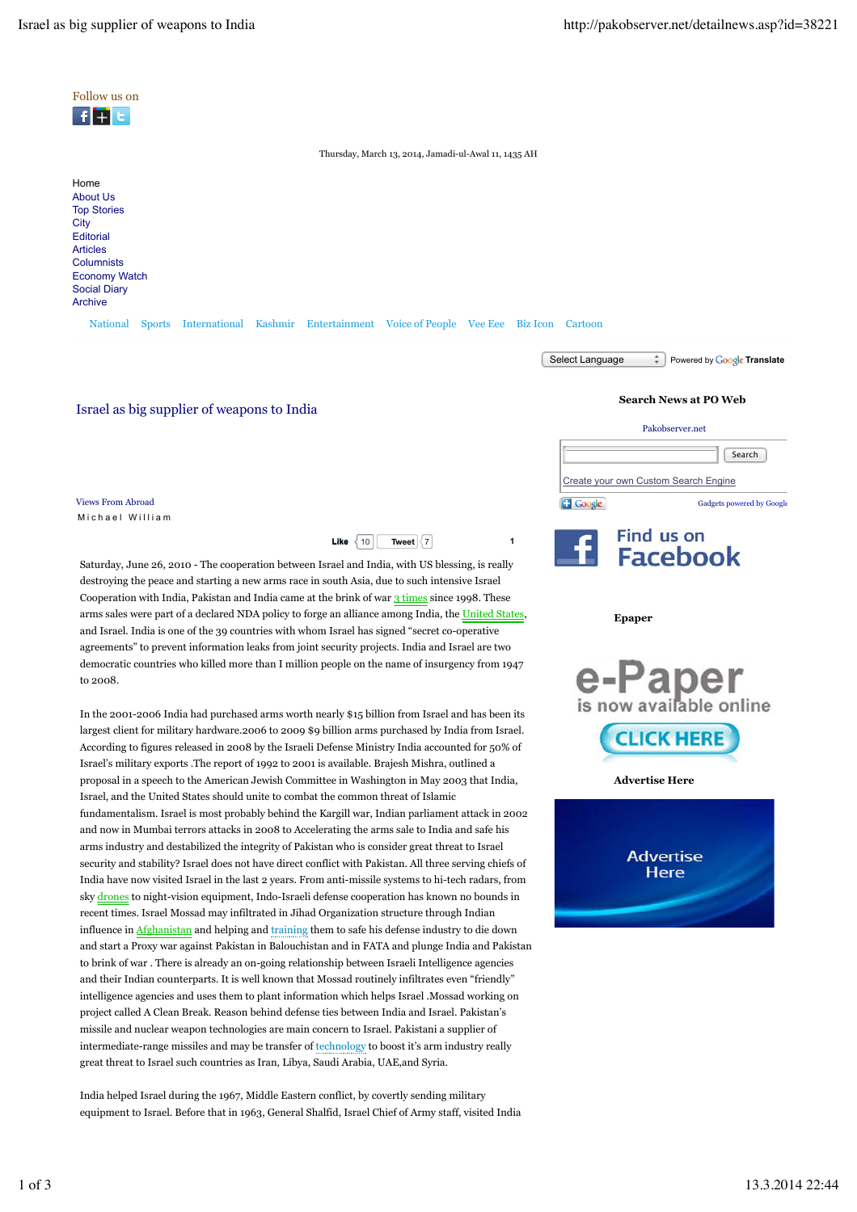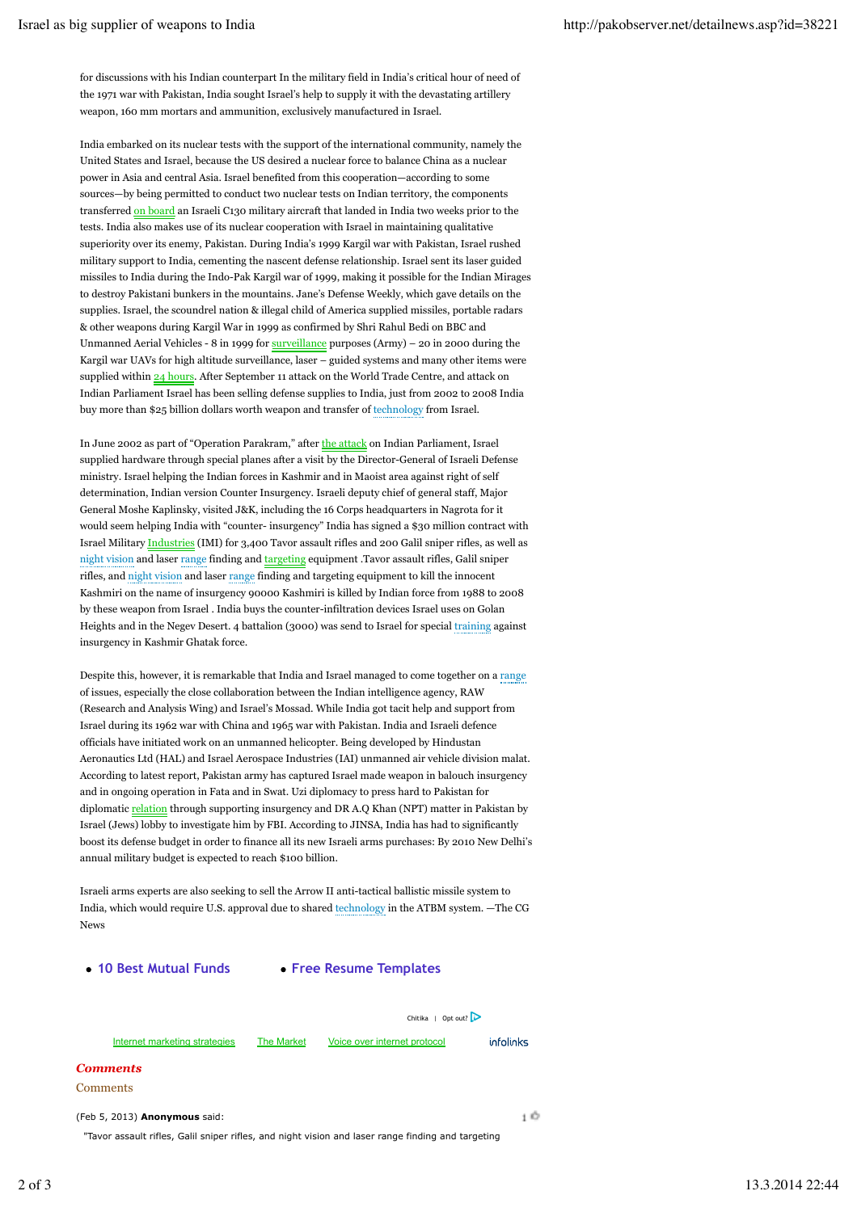for discussions with his Indian counterpart In the military field in India's critical hour of need of the 1971 war with Pakistan, India sought Israel's help to supply it with the devastating artillery weapon, 160 mm mortars and ammunition, exclusively manufactured in Israel.

India embarked on its nuclear tests with the support of the international community, namely the United States and Israel, because the US desired a nuclear force to balance China as a nuclear power in Asia and central Asia. Israel benefited from this cooperation—according to some sources—by being permitted to conduct two nuclear tests on Indian territory, the components transferred on board an Israeli C130 military aircraft that landed in India two weeks prior to the tests. India also makes use of its nuclear cooperation with Israel in maintaining qualitative superiority over its enemy, Pakistan. During India's 1999 Kargil war with Pakistan, Israel rushed military support to India, cementing the nascent defense relationship. Israel sent its laser guided missiles to India during the Indo-Pak Kargil war of 1999, making it possible for the Indian Mirages to destroy Pakistani bunkers in the mountains. Jane's Defense Weekly, which gave details on the supplies. Israel, the scoundrel nation & illegal child of America supplied missiles, portable radars & other weapons during Kargil War in 1999 as confirmed by Shri Rahul Bedi on BBC and Unmanned Aerial Vehicles - 8 in 1999 for surveillance purposes (Army) – 20 in 2000 during the Kargil war UAVs for high altitude surveillance, laser – guided systems and many other items were supplied within 24 hours. After September 11 attack on the World Trade Centre, and attack on Indian Parliament Israel has been selling defense supplies to India, just from 2002 to 2008 India buy more than \$25 billion dollars worth weapon and transfer of technology from Israel.

In June 2002 as part of "Operation Parakram," after the attack on Indian Parliament, Israel supplied hardware through special planes after a visit by the Director-General of Israeli Defense ministry. Israel helping the Indian forces in Kashmir and in Maoist area against right of self determination, Indian version Counter Insurgency. Israeli deputy chief of general staff, Major General Moshe Kaplinsky, visited J&K, including the 16 Corps headquarters in Nagrota for it would seem helping India with "counter- insurgency" India has signed a \$30 million contract with Israel Military Industries (IMI) for 3,400 Tavor assault rifles and 200 Galil sniper rifles, as well as night vision and laser range finding and targeting equipment .Tavor assault rifles, Galil sniper rifles, and night vision and laser range finding and targeting equipment to kill the innocent Kashmiri on the name of insurgency 90000 Kashmiri is killed by Indian force from 1988 to 2008 by these weapon from Israel . India buys the counter-infiltration devices Israel uses on Golan Heights and in the Negev Desert. 4 battalion (3000) was send to Israel for special training against insurgency in Kashmir Ghatak force.

Despite this, however, it is remarkable that India and Israel managed to come together on a range of issues, especially the close collaboration between the Indian intelligence agency, RAW (Research and Analysis Wing) and Israel's Mossad. While India got tacit help and support from Israel during its 1962 war with China and 1965 war with Pakistan. India and Israeli defence officials have initiated work on an unmanned helicopter. Being developed by Hindustan Aeronautics Ltd (HAL) and Israel Aerospace Industries (IAI) unmanned air vehicle division malat. According to latest report, Pakistan army has captured Israel made weapon in balouch insurgency and in ongoing operation in Fata and in Swat. Uzi diplomacy to press hard to Pakistan for diplomatic relation through supporting insurgency and DR A.Q Khan (NPT) matter in Pakistan by Israel (Jews) lobby to investigate him by FBI. According to JINSA, India has had to significantly boost its defense budget in order to finance all its new Israeli arms purchases: By 2010 New Delhi's annual military budget is expected to reach \$100 billion.

Israeli arms experts are also seeking to sell the Arrow II anti-tactical ballistic missile system to India, which would require U.S. approval due to shared technology in the ATBM system. —The CG News

**10 Best Mutual Funds Free Resume Templates**

Chitika | Opt out?

Internet marketing strategies The Market Voice over internet protocol

infolinks

 $1<sup>6</sup>$ 

## *Comments*

**Comments** 

(Feb 5, 2013) **Anonymous** said:

"Tavor assault rifles, Galil sniper rifles, and night vision and laser range finding and targeting